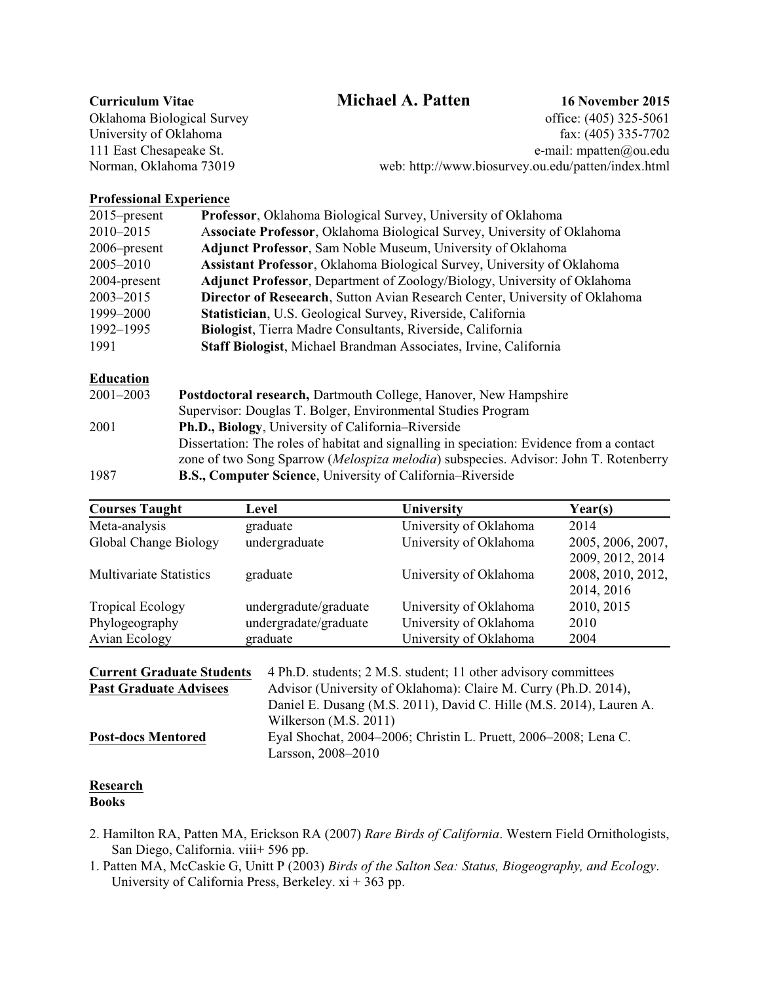## **Curriculum Vitae Michael A. Patten 16 November 2015**

Oklahoma Biological Survey office: (405) 325-5061 University of Oklahoma fax: (405) 335-7702 111 East Chesapeake St. e-mail: mpatten@ou.edu Norman, Oklahoma 73019 web: http://www.biosurvey.ou.edu/patten/index.html

## **Professional Experience**

| $2015$ -present | Professor, Oklahoma Biological Survey, University of Oklahoma                      |
|-----------------|------------------------------------------------------------------------------------|
| 2010-2015       | Associate Professor, Oklahoma Biological Survey, University of Oklahoma            |
| $2006$ -present | <b>Adjunct Professor, Sam Noble Museum, University of Oklahoma</b>                 |
| 2005-2010       | Assistant Professor, Oklahoma Biological Survey, University of Oklahoma            |
| 2004-present    | <b>Adjunct Professor</b> , Department of Zoology/Biology, University of Oklahoma   |
| $2003 - 2015$   | <b>Director of Reseaarch, Sutton Avian Research Center, University of Oklahoma</b> |
| 1999-2000       | Statistician, U.S. Geological Survey, Riverside, California                        |
| 1992-1995       | Biologist, Tierra Madre Consultants, Riverside, California                         |
| 1991            | Staff Biologist, Michael Brandman Associates, Irvine, California                   |
|                 |                                                                                    |

# **Education**<br>2001-2002

| $2001 - 2003$ | <b>Postdoctoral research, Dartmouth College, Hanover, New Hampshire</b>                  |
|---------------|------------------------------------------------------------------------------------------|
|               | Supervisor: Douglas T. Bolger, Environmental Studies Program                             |
| 2001          | Ph.D., Biology, University of California–Riverside                                       |
|               | Dissertation: The roles of habitat and signalling in speciation: Evidence from a contact |
|               | zone of two Song Sparrow (Melospiza melodia) subspecies. Advisor: John T. Rotenberry     |
| 1987          | <b>B.S., Computer Science</b> , University of California–Riverside                       |

| <b>Courses Taught</b>          | Level                 | University             | Year(s)           |
|--------------------------------|-----------------------|------------------------|-------------------|
| Meta-analysis                  | graduate              | University of Oklahoma | 2014              |
| Global Change Biology          | undergraduate         | University of Oklahoma | 2005, 2006, 2007, |
|                                |                       |                        | 2009, 2012, 2014  |
| <b>Multivariate Statistics</b> | graduate              | University of Oklahoma | 2008, 2010, 2012, |
|                                |                       |                        | 2014, 2016        |
| <b>Tropical Ecology</b>        | undergradute/graduate | University of Oklahoma | 2010, 2015        |
| Phylogeography                 | undergradate/graduate | University of Oklahoma | 2010              |
| Avian Ecology                  | graduate              | University of Oklahoma | 2004              |

| <b>Current Graduate Students</b> | 4 Ph.D. students; 2 M.S. student; 11 other advisory committees                        |
|----------------------------------|---------------------------------------------------------------------------------------|
| <b>Past Graduate Advisees</b>    | Advisor (University of Oklahoma): Claire M. Curry (Ph.D. 2014),                       |
|                                  | Daniel E. Dusang (M.S. 2011), David C. Hille (M.S. 2014), Lauren A.                   |
|                                  | Wilkerson $(M.S. 2011)$                                                               |
| <b>Post-docs Mentored</b>        | Eyal Shochat, 2004–2006; Christin L. Pruett, 2006–2008; Lena C.<br>Larsson, 2008–2010 |

#### **Research Books**

- 2. Hamilton RA, Patten MA, Erickson RA (2007) *Rare Birds of California*. Western Field Ornithologists, San Diego, California. viii+ 596 pp.
- 1. Patten MA, McCaskie G, Unitt P (2003) *Birds of the Salton Sea: Status, Biogeography, and Ecology*. University of California Press, Berkeley.  $xi + 363$  pp.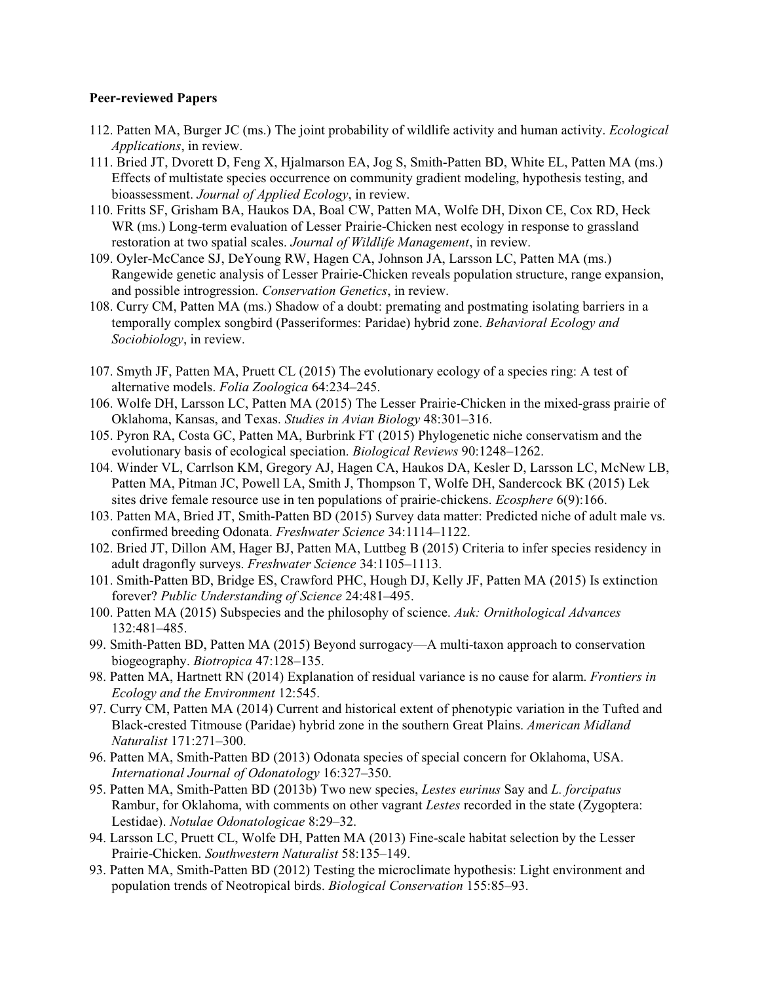## **Peer-reviewed Papers**

- 112. Patten MA, Burger JC (ms.) The joint probability of wildlife activity and human activity. *Ecological Applications*, in review.
- 111. Bried JT, Dvorett D, Feng X, Hjalmarson EA, Jog S, Smith-Patten BD, White EL, Patten MA (ms.) Effects of multistate species occurrence on community gradient modeling, hypothesis testing, and bioassessment. *Journal of Applied Ecology*, in review.
- 110. Fritts SF, Grisham BA, Haukos DA, Boal CW, Patten MA, Wolfe DH, Dixon CE, Cox RD, Heck WR (ms.) Long-term evaluation of Lesser Prairie-Chicken nest ecology in response to grassland restoration at two spatial scales. *Journal of Wildlife Management*, in review.
- 109. Oyler-McCance SJ, DeYoung RW, Hagen CA, Johnson JA, Larsson LC, Patten MA (ms.) Rangewide genetic analysis of Lesser Prairie-Chicken reveals population structure, range expansion, and possible introgression. *Conservation Genetics*, in review.
- 108. Curry CM, Patten MA (ms.) Shadow of a doubt: premating and postmating isolating barriers in a temporally complex songbird (Passeriformes: Paridae) hybrid zone. *Behavioral Ecology and Sociobiology*, in review.
- 107. Smyth JF, Patten MA, Pruett CL (2015) The evolutionary ecology of a species ring: A test of alternative models. *Folia Zoologica* 64:234–245.
- 106. Wolfe DH, Larsson LC, Patten MA (2015) The Lesser Prairie-Chicken in the mixed-grass prairie of Oklahoma, Kansas, and Texas. *Studies in Avian Biology* 48:301–316.
- 105. Pyron RA, Costa GC, Patten MA, Burbrink FT (2015) Phylogenetic niche conservatism and the evolutionary basis of ecological speciation. *Biological Reviews* 90:1248–1262.
- 104. Winder VL, Carrlson KM, Gregory AJ, Hagen CA, Haukos DA, Kesler D, Larsson LC, McNew LB, Patten MA, Pitman JC, Powell LA, Smith J, Thompson T, Wolfe DH, Sandercock BK (2015) Lek sites drive female resource use in ten populations of prairie-chickens. *Ecosphere* 6(9):166.
- 103. Patten MA, Bried JT, Smith-Patten BD (2015) Survey data matter: Predicted niche of adult male vs. confirmed breeding Odonata. *Freshwater Science* 34:1114–1122.
- 102. Bried JT, Dillon AM, Hager BJ, Patten MA, Luttbeg B (2015) Criteria to infer species residency in adult dragonfly surveys. *Freshwater Science* 34:1105–1113.
- 101. Smith-Patten BD, Bridge ES, Crawford PHC, Hough DJ, Kelly JF, Patten MA (2015) Is extinction forever? *Public Understanding of Science* 24:481–495.
- 100. Patten MA (2015) Subspecies and the philosophy of science. *Auk: Ornithological Advances* 132:481–485.
- 99. Smith-Patten BD, Patten MA (2015) Beyond surrogacy—A multi-taxon approach to conservation biogeography. *Biotropica* 47:128–135.
- 98. Patten MA, Hartnett RN (2014) Explanation of residual variance is no cause for alarm. *Frontiers in Ecology and the Environment* 12:545.
- 97. Curry CM, Patten MA (2014) Current and historical extent of phenotypic variation in the Tufted and Black-crested Titmouse (Paridae) hybrid zone in the southern Great Plains. *American Midland Naturalist* 171:271–300.
- 96. Patten MA, Smith-Patten BD (2013) Odonata species of special concern for Oklahoma, USA. *International Journal of Odonatology* 16:327–350.
- 95. Patten MA, Smith-Patten BD (2013b) Two new species, *Lestes eurinus* Say and *L. forcipatus* Rambur, for Oklahoma, with comments on other vagrant *Lestes* recorded in the state (Zygoptera: Lestidae). *Notulae Odonatologicae* 8:29–32.
- 94. Larsson LC, Pruett CL, Wolfe DH, Patten MA (2013) Fine-scale habitat selection by the Lesser Prairie-Chicken. *Southwestern Naturalist* 58:135–149.
- 93. Patten MA, Smith-Patten BD (2012) Testing the microclimate hypothesis: Light environment and population trends of Neotropical birds. *Biological Conservation* 155:85–93.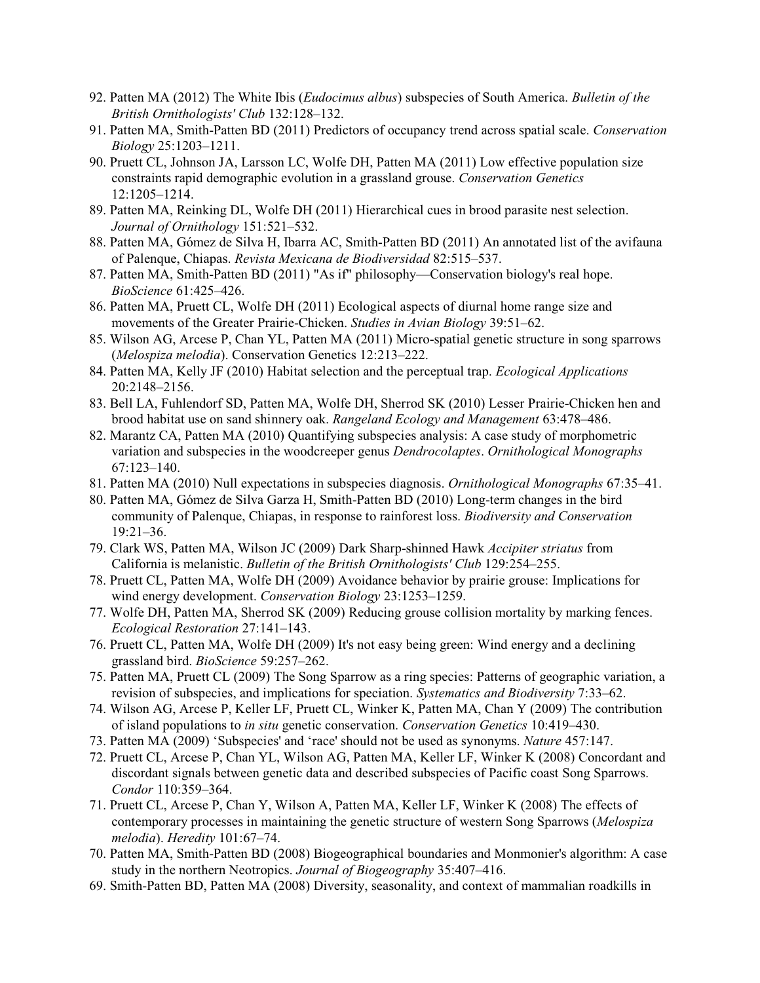- 92. Patten MA (2012) The White Ibis (*Eudocimus albus*) subspecies of South America. *Bulletin of the British Ornithologists' Club* 132:128–132.
- 91. Patten MA, Smith-Patten BD (2011) Predictors of occupancy trend across spatial scale. *Conservation Biology* 25:1203–1211.
- 90. Pruett CL, Johnson JA, Larsson LC, Wolfe DH, Patten MA (2011) Low effective population size constraints rapid demographic evolution in a grassland grouse. *Conservation Genetics* 12:1205–1214.
- 89. Patten MA, Reinking DL, Wolfe DH (2011) Hierarchical cues in brood parasite nest selection. *Journal of Ornithology* 151:521–532.
- 88. Patten MA, Gómez de Silva H, Ibarra AC, Smith-Patten BD (2011) An annotated list of the avifauna of Palenque, Chiapas. *Revista Mexicana de Biodiversidad* 82:515–537.
- 87. Patten MA, Smith-Patten BD (2011) "As if" philosophy—Conservation biology's real hope. *BioScience* 61:425–426.
- 86. Patten MA, Pruett CL, Wolfe DH (2011) Ecological aspects of diurnal home range size and movements of the Greater Prairie-Chicken. *Studies in Avian Biology* 39:51–62.
- 85. Wilson AG, Arcese P, Chan YL, Patten MA (2011) Micro-spatial genetic structure in song sparrows (*Melospiza melodia*). Conservation Genetics 12:213–222.
- 84. Patten MA, Kelly JF (2010) Habitat selection and the perceptual trap. *Ecological Applications* 20:2148–2156.
- 83. Bell LA, Fuhlendorf SD, Patten MA, Wolfe DH, Sherrod SK (2010) Lesser Prairie-Chicken hen and brood habitat use on sand shinnery oak. *Rangeland Ecology and Management* 63:478–486.
- 82. Marantz CA, Patten MA (2010) Quantifying subspecies analysis: A case study of morphometric variation and subspecies in the woodcreeper genus *Dendrocolaptes*. *Ornithological Monographs* 67:123–140.
- 81. Patten MA (2010) Null expectations in subspecies diagnosis. *Ornithological Monographs* 67:35–41.
- 80. Patten MA, Gómez de Silva Garza H, Smith-Patten BD (2010) Long-term changes in the bird community of Palenque, Chiapas, in response to rainforest loss. *Biodiversity and Conservation* 19:21–36.
- 79. Clark WS, Patten MA, Wilson JC (2009) Dark Sharp-shinned Hawk *Accipiter striatus* from California is melanistic. *Bulletin of the British Ornithologists' Club* 129:254–255.
- 78. Pruett CL, Patten MA, Wolfe DH (2009) Avoidance behavior by prairie grouse: Implications for wind energy development. *Conservation Biology* 23:1253–1259.
- 77. Wolfe DH, Patten MA, Sherrod SK (2009) Reducing grouse collision mortality by marking fences. *Ecological Restoration* 27:141–143.
- 76. Pruett CL, Patten MA, Wolfe DH (2009) It's not easy being green: Wind energy and a declining grassland bird. *BioScience* 59:257–262.
- 75. Patten MA, Pruett CL (2009) The Song Sparrow as a ring species: Patterns of geographic variation, a revision of subspecies, and implications for speciation. *Systematics and Biodiversity* 7:33–62.
- 74. Wilson AG, Arcese P, Keller LF, Pruett CL, Winker K, Patten MA, Chan Y (2009) The contribution of island populations to *in situ* genetic conservation. *Conservation Genetics* 10:419–430.
- 73. Patten MA (2009) 'Subspecies' and 'race' should not be used as synonyms. *Nature* 457:147.
- 72. Pruett CL, Arcese P, Chan YL, Wilson AG, Patten MA, Keller LF, Winker K (2008) Concordant and discordant signals between genetic data and described subspecies of Pacific coast Song Sparrows. *Condor* 110:359–364.
- 71. Pruett CL, Arcese P, Chan Y, Wilson A, Patten MA, Keller LF, Winker K (2008) The effects of contemporary processes in maintaining the genetic structure of western Song Sparrows (*Melospiza melodia*). *Heredity* 101:67–74.
- 70. Patten MA, Smith-Patten BD (2008) Biogeographical boundaries and Monmonier's algorithm: A case study in the northern Neotropics. *Journal of Biogeography* 35:407–416.
- 69. Smith-Patten BD, Patten MA (2008) Diversity, seasonality, and context of mammalian roadkills in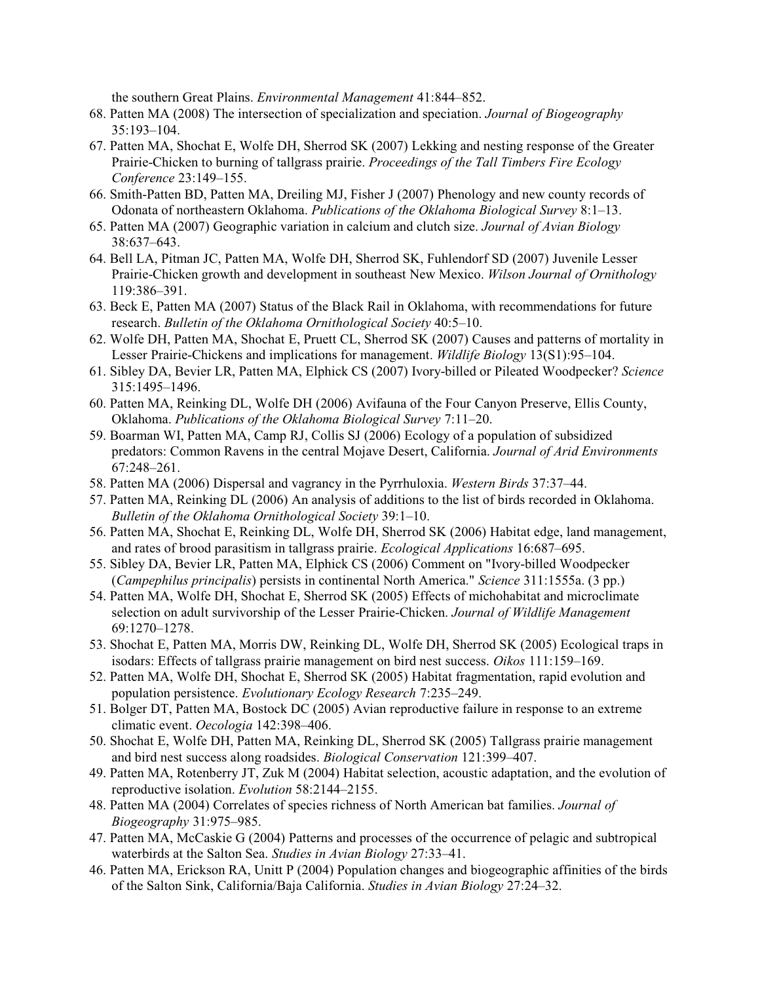the southern Great Plains. *Environmental Management* 41:844–852.

- 68. Patten MA (2008) The intersection of specialization and speciation. *Journal of Biogeography* 35:193–104.
- 67. Patten MA, Shochat E, Wolfe DH, Sherrod SK (2007) Lekking and nesting response of the Greater Prairie-Chicken to burning of tallgrass prairie. *Proceedings of the Tall Timbers Fire Ecology Conference* 23:149–155.
- 66. Smith-Patten BD, Patten MA, Dreiling MJ, Fisher J (2007) Phenology and new county records of Odonata of northeastern Oklahoma. *Publications of the Oklahoma Biological Survey* 8:1–13.
- 65. Patten MA (2007) Geographic variation in calcium and clutch size. *Journal of Avian Biology* 38:637–643.
- 64. Bell LA, Pitman JC, Patten MA, Wolfe DH, Sherrod SK, Fuhlendorf SD (2007) Juvenile Lesser Prairie-Chicken growth and development in southeast New Mexico. *Wilson Journal of Ornithology* 119:386–391.
- 63. Beck E, Patten MA (2007) Status of the Black Rail in Oklahoma, with recommendations for future research. *Bulletin of the Oklahoma Ornithological Society* 40:5–10.
- 62. Wolfe DH, Patten MA, Shochat E, Pruett CL, Sherrod SK (2007) Causes and patterns of mortality in Lesser Prairie-Chickens and implications for management. *Wildlife Biology* 13(S1):95–104.
- 61. Sibley DA, Bevier LR, Patten MA, Elphick CS (2007) Ivory-billed or Pileated Woodpecker? *Science* 315:1495–1496.
- 60. Patten MA, Reinking DL, Wolfe DH (2006) Avifauna of the Four Canyon Preserve, Ellis County, Oklahoma. *Publications of the Oklahoma Biological Survey* 7:11–20.
- 59. Boarman WI, Patten MA, Camp RJ, Collis SJ (2006) Ecology of a population of subsidized predators: Common Ravens in the central Mojave Desert, California. *Journal of Arid Environments* 67:248–261.
- 58. Patten MA (2006) Dispersal and vagrancy in the Pyrrhuloxia. *Western Birds* 37:37–44.
- 57. Patten MA, Reinking DL (2006) An analysis of additions to the list of birds recorded in Oklahoma. *Bulletin of the Oklahoma Ornithological Society* 39:1–10.
- 56. Patten MA, Shochat E, Reinking DL, Wolfe DH, Sherrod SK (2006) Habitat edge, land management, and rates of brood parasitism in tallgrass prairie. *Ecological Applications* 16:687–695.
- 55. Sibley DA, Bevier LR, Patten MA, Elphick CS (2006) Comment on "Ivory-billed Woodpecker (*Campephilus principalis*) persists in continental North America." *Science* 311:1555a. (3 pp.)
- 54. Patten MA, Wolfe DH, Shochat E, Sherrod SK (2005) Effects of michohabitat and microclimate selection on adult survivorship of the Lesser Prairie-Chicken. *Journal of Wildlife Management* 69:1270–1278.
- 53. Shochat E, Patten MA, Morris DW, Reinking DL, Wolfe DH, Sherrod SK (2005) Ecological traps in isodars: Effects of tallgrass prairie management on bird nest success. *Oikos* 111:159–169.
- 52. Patten MA, Wolfe DH, Shochat E, Sherrod SK (2005) Habitat fragmentation, rapid evolution and population persistence. *Evolutionary Ecology Research* 7:235–249.
- 51. Bolger DT, Patten MA, Bostock DC (2005) Avian reproductive failure in response to an extreme climatic event. *Oecologia* 142:398–406.
- 50. Shochat E, Wolfe DH, Patten MA, Reinking DL, Sherrod SK (2005) Tallgrass prairie management and bird nest success along roadsides. *Biological Conservation* 121:399–407.
- 49. Patten MA, Rotenberry JT, Zuk M (2004) Habitat selection, acoustic adaptation, and the evolution of reproductive isolation. *Evolution* 58:2144–2155.
- 48. Patten MA (2004) Correlates of species richness of North American bat families. *Journal of Biogeography* 31:975–985.
- 47. Patten MA, McCaskie G (2004) Patterns and processes of the occurrence of pelagic and subtropical waterbirds at the Salton Sea. *Studies in Avian Biology* 27:33–41.
- 46. Patten MA, Erickson RA, Unitt P (2004) Population changes and biogeographic affinities of the birds of the Salton Sink, California/Baja California. *Studies in Avian Biology* 27:24–32.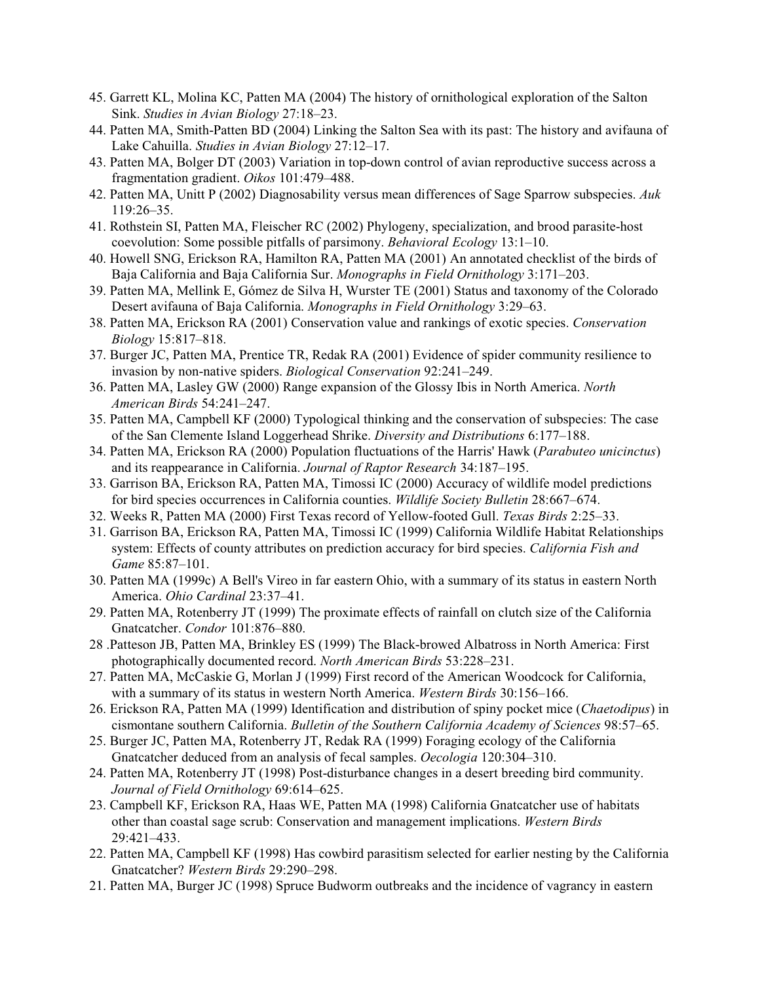- 45. Garrett KL, Molina KC, Patten MA (2004) The history of ornithological exploration of the Salton Sink. *Studies in Avian Biology* 27:18–23.
- 44. Patten MA, Smith-Patten BD (2004) Linking the Salton Sea with its past: The history and avifauna of Lake Cahuilla. *Studies in Avian Biology* 27:12–17.
- 43. Patten MA, Bolger DT (2003) Variation in top-down control of avian reproductive success across a fragmentation gradient. *Oikos* 101:479–488.
- 42. Patten MA, Unitt P (2002) Diagnosability versus mean differences of Sage Sparrow subspecies. *Auk* 119:26–35.
- 41. Rothstein SI, Patten MA, Fleischer RC (2002) Phylogeny, specialization, and brood parasite-host coevolution: Some possible pitfalls of parsimony. *Behavioral Ecology* 13:1–10.
- 40. Howell SNG, Erickson RA, Hamilton RA, Patten MA (2001) An annotated checklist of the birds of Baja California and Baja California Sur. *Monographs in Field Ornithology* 3:171–203.
- 39. Patten MA, Mellink E, Gómez de Silva H, Wurster TE (2001) Status and taxonomy of the Colorado Desert avifauna of Baja California. *Monographs in Field Ornithology* 3:29–63.
- 38. Patten MA, Erickson RA (2001) Conservation value and rankings of exotic species. *Conservation Biology* 15:817–818.
- 37. Burger JC, Patten MA, Prentice TR, Redak RA (2001) Evidence of spider community resilience to invasion by non-native spiders. *Biological Conservation* 92:241–249.
- 36. Patten MA, Lasley GW (2000) Range expansion of the Glossy Ibis in North America. *North American Birds* 54:241–247.
- 35. Patten MA, Campbell KF (2000) Typological thinking and the conservation of subspecies: The case of the San Clemente Island Loggerhead Shrike. *Diversity and Distributions* 6:177–188.
- 34. Patten MA, Erickson RA (2000) Population fluctuations of the Harris' Hawk (*Parabuteo unicinctus*) and its reappearance in California. *Journal of Raptor Research* 34:187–195.
- 33. Garrison BA, Erickson RA, Patten MA, Timossi IC (2000) Accuracy of wildlife model predictions for bird species occurrences in California counties. *Wildlife Society Bulletin* 28:667–674.
- 32. Weeks R, Patten MA (2000) First Texas record of Yellow-footed Gull. *Texas Birds* 2:25–33.
- 31. Garrison BA, Erickson RA, Patten MA, Timossi IC (1999) California Wildlife Habitat Relationships system: Effects of county attributes on prediction accuracy for bird species. *California Fish and Game* 85:87–101.
- 30. Patten MA (1999c) A Bell's Vireo in far eastern Ohio, with a summary of its status in eastern North America. *Ohio Cardinal* 23:37–41.
- 29. Patten MA, Rotenberry JT (1999) The proximate effects of rainfall on clutch size of the California Gnatcatcher. *Condor* 101:876–880.
- 28 .Patteson JB, Patten MA, Brinkley ES (1999) The Black-browed Albatross in North America: First photographically documented record. *North American Birds* 53:228–231.
- 27. Patten MA, McCaskie G, Morlan J (1999) First record of the American Woodcock for California, with a summary of its status in western North America. *Western Birds* 30:156–166.
- 26. Erickson RA, Patten MA (1999) Identification and distribution of spiny pocket mice (*Chaetodipus*) in cismontane southern California. *Bulletin of the Southern California Academy of Sciences* 98:57–65.
- 25. Burger JC, Patten MA, Rotenberry JT, Redak RA (1999) Foraging ecology of the California Gnatcatcher deduced from an analysis of fecal samples. *Oecologia* 120:304–310.
- 24. Patten MA, Rotenberry JT (1998) Post-disturbance changes in a desert breeding bird community. *Journal of Field Ornithology* 69:614–625.
- 23. Campbell KF, Erickson RA, Haas WE, Patten MA (1998) California Gnatcatcher use of habitats other than coastal sage scrub: Conservation and management implications. *Western Birds* 29:421–433.
- 22. Patten MA, Campbell KF (1998) Has cowbird parasitism selected for earlier nesting by the California Gnatcatcher? *Western Birds* 29:290–298.
- 21. Patten MA, Burger JC (1998) Spruce Budworm outbreaks and the incidence of vagrancy in eastern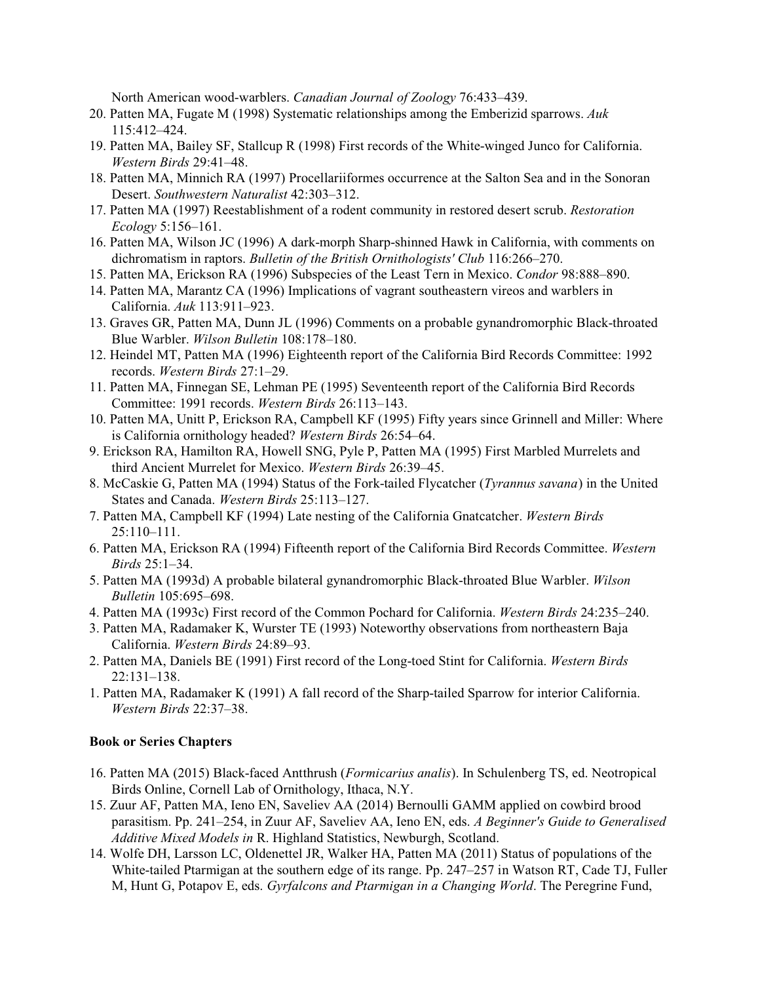North American wood-warblers. *Canadian Journal of Zoology* 76:433–439.

- 20. Patten MA, Fugate M (1998) Systematic relationships among the Emberizid sparrows. *Auk* 115:412–424.
- 19. Patten MA, Bailey SF, Stallcup R (1998) First records of the White-winged Junco for California. *Western Birds* 29:41–48.
- 18. Patten MA, Minnich RA (1997) Procellariiformes occurrence at the Salton Sea and in the Sonoran Desert. *Southwestern Naturalist* 42:303–312.
- 17. Patten MA (1997) Reestablishment of a rodent community in restored desert scrub. *Restoration Ecology* 5:156–161.
- 16. Patten MA, Wilson JC (1996) A dark-morph Sharp-shinned Hawk in California, with comments on dichromatism in raptors. *Bulletin of the British Ornithologists' Club* 116:266–270.
- 15. Patten MA, Erickson RA (1996) Subspecies of the Least Tern in Mexico. *Condor* 98:888–890.
- 14. Patten MA, Marantz CA (1996) Implications of vagrant southeastern vireos and warblers in California. *Auk* 113:911–923.
- 13. Graves GR, Patten MA, Dunn JL (1996) Comments on a probable gynandromorphic Black-throated Blue Warbler. *Wilson Bulletin* 108:178–180.
- 12. Heindel MT, Patten MA (1996) Eighteenth report of the California Bird Records Committee: 1992 records. *Western Birds* 27:1–29.
- 11. Patten MA, Finnegan SE, Lehman PE (1995) Seventeenth report of the California Bird Records Committee: 1991 records. *Western Birds* 26:113–143.
- 10. Patten MA, Unitt P, Erickson RA, Campbell KF (1995) Fifty years since Grinnell and Miller: Where is California ornithology headed? *Western Birds* 26:54–64.
- 9. Erickson RA, Hamilton RA, Howell SNG, Pyle P, Patten MA (1995) First Marbled Murrelets and third Ancient Murrelet for Mexico. *Western Birds* 26:39–45.
- 8. McCaskie G, Patten MA (1994) Status of the Fork-tailed Flycatcher (*Tyrannus savana*) in the United States and Canada. *Western Birds* 25:113–127.
- 7. Patten MA, Campbell KF (1994) Late nesting of the California Gnatcatcher. *Western Birds* 25:110–111.
- 6. Patten MA, Erickson RA (1994) Fifteenth report of the California Bird Records Committee. *Western Birds* 25:1–34.
- 5. Patten MA (1993d) A probable bilateral gynandromorphic Black-throated Blue Warbler. *Wilson Bulletin* 105:695–698.
- 4. Patten MA (1993c) First record of the Common Pochard for California. *Western Birds* 24:235–240.
- 3. Patten MA, Radamaker K, Wurster TE (1993) Noteworthy observations from northeastern Baja California. *Western Birds* 24:89–93.
- 2. Patten MA, Daniels BE (1991) First record of the Long-toed Stint for California. *Western Birds* 22:131–138.
- 1. Patten MA, Radamaker K (1991) A fall record of the Sharp-tailed Sparrow for interior California. *Western Birds* 22:37–38.

## **Book or Series Chapters**

- 16. Patten MA (2015) Black-faced Antthrush (*Formicarius analis*). In Schulenberg TS, ed. Neotropical Birds Online, Cornell Lab of Ornithology, Ithaca, N.Y.
- 15. Zuur AF, Patten MA, Ieno EN, Saveliev AA (2014) Bernoulli GAMM applied on cowbird brood parasitism. Pp. 241–254, in Zuur AF, Saveliev AA, Ieno EN, eds. *A Beginner's Guide to Generalised Additive Mixed Models in* R. Highland Statistics, Newburgh, Scotland.
- 14. Wolfe DH, Larsson LC, Oldenettel JR, Walker HA, Patten MA (2011) Status of populations of the White-tailed Ptarmigan at the southern edge of its range. Pp. 247–257 in Watson RT, Cade TJ, Fuller M, Hunt G, Potapov E, eds. *Gyrfalcons and Ptarmigan in a Changing World*. The Peregrine Fund,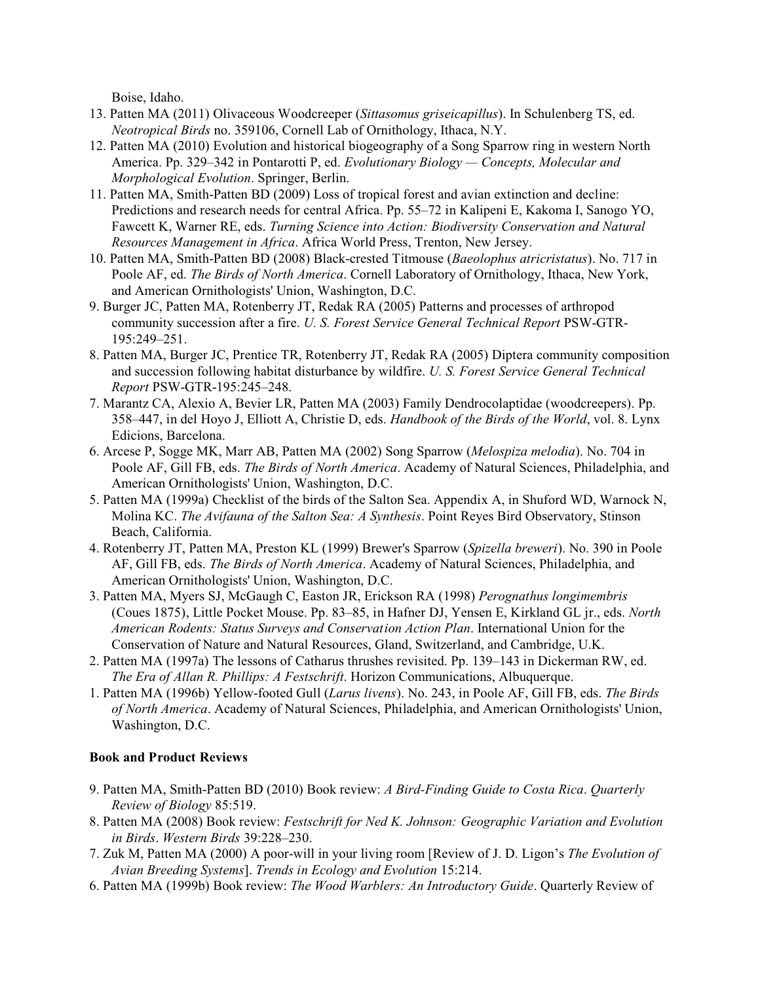Boise, Idaho.

- 13. Patten MA (2011) Olivaceous Woodcreeper (*Sittasomus griseicapillus*). In Schulenberg TS, ed. *Neotropical Birds* no. 359106, Cornell Lab of Ornithology, Ithaca, N.Y.
- 12. Patten MA (2010) Evolution and historical biogeography of a Song Sparrow ring in western North America. Pp. 329–342 in Pontarotti P, ed. *Evolutionary Biology — Concepts, Molecular and Morphological Evolution*. Springer, Berlin.
- 11. Patten MA, Smith-Patten BD (2009) Loss of tropical forest and avian extinction and decline: Predictions and research needs for central Africa. Pp. 55–72 in Kalipeni E, Kakoma I, Sanogo YO, Fawcett K, Warner RE, eds. *Turning Science into Action: Biodiversity Conservation and Natural Resources Management in Africa*. Africa World Press, Trenton, New Jersey.
- 10. Patten MA, Smith-Patten BD (2008) Black-crested Titmouse (*Baeolophus atricristatus*). No. 717 in Poole AF, ed. *The Birds of North America*. Cornell Laboratory of Ornithology, Ithaca, New York, and American Ornithologists' Union, Washington, D.C.
- 9. Burger JC, Patten MA, Rotenberry JT, Redak RA (2005) Patterns and processes of arthropod community succession after a fire. *U. S. Forest Service General Technical Report* PSW-GTR-195:249–251.
- 8. Patten MA, Burger JC, Prentice TR, Rotenberry JT, Redak RA (2005) Diptera community composition and succession following habitat disturbance by wildfire. *U. S. Forest Service General Technical Report* PSW-GTR-195:245–248.
- 7. Marantz CA, Alexio A, Bevier LR, Patten MA (2003) Family Dendrocolaptidae (woodcreepers). Pp. 358–447, in del Hoyo J, Elliott A, Christie D, eds. *Handbook of the Birds of the World*, vol. 8. Lynx Edicions, Barcelona.
- 6. Arcese P, Sogge MK, Marr AB, Patten MA (2002) Song Sparrow (*Melospiza melodia*). No. 704 in Poole AF, Gill FB, eds. *The Birds of North America*. Academy of Natural Sciences, Philadelphia, and American Ornithologists' Union, Washington, D.C.
- 5. Patten MA (1999a) Checklist of the birds of the Salton Sea. Appendix A, in Shuford WD, Warnock N, Molina KC. *The Avifauna of the Salton Sea: A Synthesis*. Point Reyes Bird Observatory, Stinson Beach, California.
- 4. Rotenberry JT, Patten MA, Preston KL (1999) Brewer's Sparrow (*Spizella breweri*). No. 390 in Poole AF, Gill FB, eds. *The Birds of North America*. Academy of Natural Sciences, Philadelphia, and American Ornithologists' Union, Washington, D.C.
- 3. Patten MA, Myers SJ, McGaugh C, Easton JR, Erickson RA (1998) *Perognathus longimembris* (Coues 1875), Little Pocket Mouse. Pp. 83–85, in Hafner DJ, Yensen E, Kirkland GL jr., eds. *North American Rodents: Status Surveys and Conservation Action Plan*. International Union for the Conservation of Nature and Natural Resources, Gland, Switzerland, and Cambridge, U.K.
- 2. Patten MA (1997a) The lessons of Catharus thrushes revisited. Pp. 139–143 in Dickerman RW, ed. *The Era of Allan R. Phillips: A Festschrift*. Horizon Communications, Albuquerque.
- 1. Patten MA (1996b) Yellow-footed Gull (*Larus livens*). No. 243, in Poole AF, Gill FB, eds. *The Birds of North America*. Academy of Natural Sciences, Philadelphia, and American Ornithologists' Union, Washington, D.C.

## **Book and Product Reviews**

- 9. Patten MA, Smith-Patten BD (2010) Book review: *A Bird-Finding Guide to Costa Rica*. *Quarterly Review of Biology* 85:519.
- 8. Patten MA (2008) Book review: *Festschrift for Ned K. Johnson: Geographic Variation and Evolution in Birds*. *Western Birds* 39:228–230.
- 7. Zuk M, Patten MA (2000) A poor-will in your living room [Review of J. D. Ligon's *The Evolution of Avian Breeding Systems*]. *Trends in Ecology and Evolution* 15:214.
- 6. Patten MA (1999b) Book review: *The Wood Warblers: An Introductory Guide*. Quarterly Review of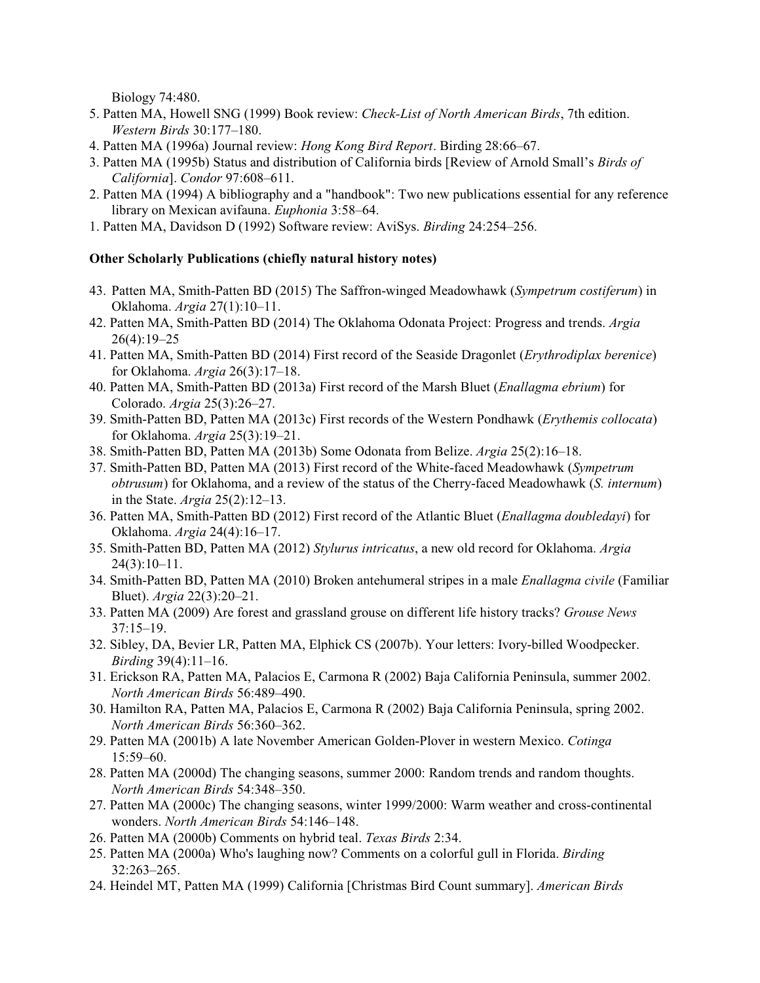Biology 74:480.

- 5. Patten MA, Howell SNG (1999) Book review: *Check-List of North American Birds*, 7th edition. *Western Birds* 30:177–180.
- 4. Patten MA (1996a) Journal review: *Hong Kong Bird Report*. Birding 28:66–67.
- 3. Patten MA (1995b) Status and distribution of California birds [Review of Arnold Small's *Birds of California*]. *Condor* 97:608–611.
- 2. Patten MA (1994) A bibliography and a "handbook": Two new publications essential for any reference library on Mexican avifauna. *Euphonia* 3:58–64.
- 1. Patten MA, Davidson D (1992) Software review: AviSys. *Birding* 24:254–256.

## **Other Scholarly Publications (chiefly natural history notes)**

- 43. Patten MA, Smith-Patten BD (2015) The Saffron-winged Meadowhawk (*Sympetrum costiferum*) in Oklahoma. *Argia* 27(1):10–11.
- 42. Patten MA, Smith-Patten BD (2014) The Oklahoma Odonata Project: Progress and trends. *Argia* 26(4):19–25
- 41. Patten MA, Smith-Patten BD (2014) First record of the Seaside Dragonlet (*Erythrodiplax berenice*) for Oklahoma. *Argia* 26(3):17–18.
- 40. Patten MA, Smith-Patten BD (2013a) First record of the Marsh Bluet (*Enallagma ebrium*) for Colorado. *Argia* 25(3):26–27.
- 39. Smith-Patten BD, Patten MA (2013c) First records of the Western Pondhawk (*Erythemis collocata*) for Oklahoma. *Argia* 25(3):19–21.
- 38. Smith-Patten BD, Patten MA (2013b) Some Odonata from Belize. *Argia* 25(2):16–18.
- 37. Smith-Patten BD, Patten MA (2013) First record of the White-faced Meadowhawk (*Sympetrum obtrusum*) for Oklahoma, and a review of the status of the Cherry-faced Meadowhawk (*S. internum*) in the State. *Argia* 25(2):12–13.
- 36. Patten MA, Smith-Patten BD (2012) First record of the Atlantic Bluet (*Enallagma doubledayi*) for Oklahoma. *Argia* 24(4):16–17.
- 35. Smith-Patten BD, Patten MA (2012) *Stylurus intricatus*, a new old record for Oklahoma. *Argia*  $24(3):10-11.$
- 34. Smith-Patten BD, Patten MA (2010) Broken antehumeral stripes in a male *Enallagma civile* (Familiar Bluet). *Argia* 22(3):20–21.
- 33. Patten MA (2009) Are forest and grassland grouse on different life history tracks? *Grouse News* 37:15–19.
- 32. Sibley, DA, Bevier LR, Patten MA, Elphick CS (2007b). Your letters: Ivory-billed Woodpecker. *Birding* 39(4):11–16.
- 31. Erickson RA, Patten MA, Palacios E, Carmona R (2002) Baja California Peninsula, summer 2002. *North American Birds* 56:489–490.
- 30. Hamilton RA, Patten MA, Palacios E, Carmona R (2002) Baja California Peninsula, spring 2002. *North American Birds* 56:360–362.
- 29. Patten MA (2001b) A late November American Golden-Plover in western Mexico. *Cotinga* 15:59–60.
- 28. Patten MA (2000d) The changing seasons, summer 2000: Random trends and random thoughts. *North American Birds* 54:348–350.
- 27. Patten MA (2000c) The changing seasons, winter 1999/2000: Warm weather and cross-continental wonders. *North American Birds* 54:146–148.
- 26. Patten MA (2000b) Comments on hybrid teal. *Texas Birds* 2:34.
- 25. Patten MA (2000a) Who's laughing now? Comments on a colorful gull in Florida. *Birding* 32:263–265.
- 24. Heindel MT, Patten MA (1999) California [Christmas Bird Count summary]. *American Birds*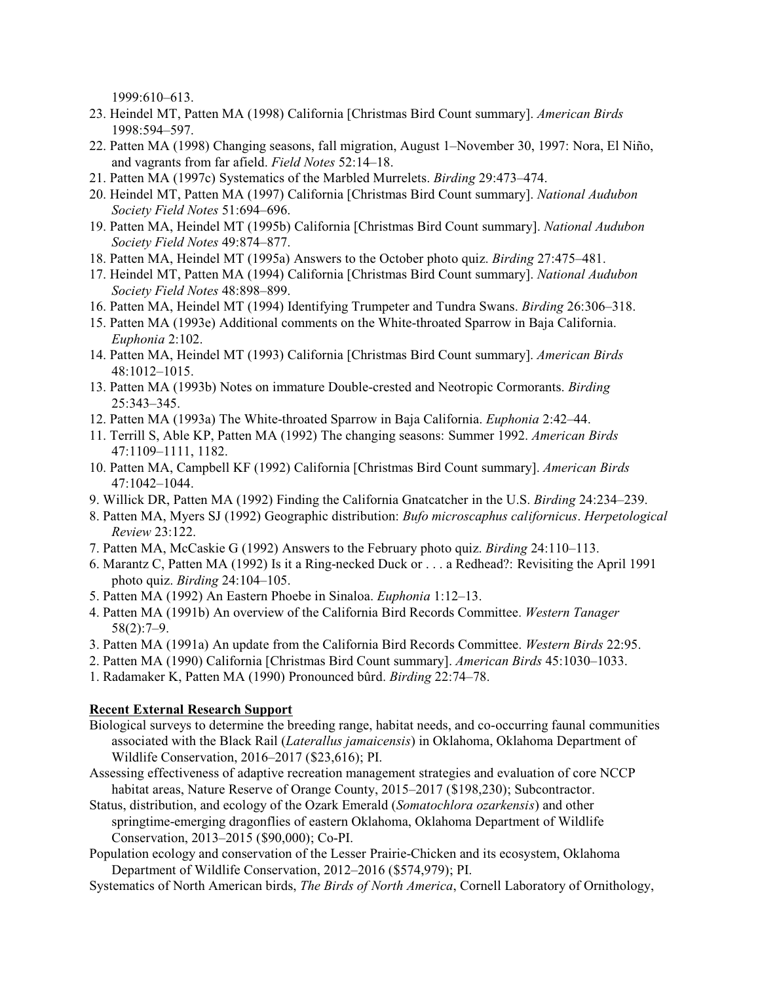1999:610–613.

- 23. Heindel MT, Patten MA (1998) California [Christmas Bird Count summary]. *American Birds* 1998:594–597.
- 22. Patten MA (1998) Changing seasons, fall migration, August 1–November 30, 1997: Nora, El Niño, and vagrants from far afield. *Field Notes* 52:14–18.
- 21. Patten MA (1997c) Systematics of the Marbled Murrelets. *Birding* 29:473–474.
- 20. Heindel MT, Patten MA (1997) California [Christmas Bird Count summary]. *National Audubon Society Field Notes* 51:694–696.
- 19. Patten MA, Heindel MT (1995b) California [Christmas Bird Count summary]. *National Audubon Society Field Notes* 49:874–877.
- 18. Patten MA, Heindel MT (1995a) Answers to the October photo quiz. *Birding* 27:475–481.
- 17. Heindel MT, Patten MA (1994) California [Christmas Bird Count summary]. *National Audubon Society Field Notes* 48:898–899.
- 16. Patten MA, Heindel MT (1994) Identifying Trumpeter and Tundra Swans. *Birding* 26:306–318.
- 15. Patten MA (1993e) Additional comments on the White-throated Sparrow in Baja California. *Euphonia* 2:102.
- 14. Patten MA, Heindel MT (1993) California [Christmas Bird Count summary]. *American Birds* 48:1012–1015.
- 13. Patten MA (1993b) Notes on immature Double-crested and Neotropic Cormorants. *Birding* 25:343–345.
- 12. Patten MA (1993a) The White-throated Sparrow in Baja California. *Euphonia* 2:42–44.
- 11. Terrill S, Able KP, Patten MA (1992) The changing seasons: Summer 1992. *American Birds* 47:1109–1111, 1182.
- 10. Patten MA, Campbell KF (1992) California [Christmas Bird Count summary]. *American Birds* 47:1042–1044.
- 9. Willick DR, Patten MA (1992) Finding the California Gnatcatcher in the U.S. *Birding* 24:234–239.
- 8. Patten MA, Myers SJ (1992) Geographic distribution: *Bufo microscaphus californicus*. *Herpetological Review* 23:122.
- 7. Patten MA, McCaskie G (1992) Answers to the February photo quiz. *Birding* 24:110–113.
- 6. Marantz C, Patten MA (1992) Is it a Ring-necked Duck or . . . a Redhead?: Revisiting the April 1991 photo quiz. *Birding* 24:104–105.
- 5. Patten MA (1992) An Eastern Phoebe in Sinaloa. *Euphonia* 1:12–13.
- 4. Patten MA (1991b) An overview of the California Bird Records Committee. *Western Tanager* 58(2):7–9.
- 3. Patten MA (1991a) An update from the California Bird Records Committee. *Western Birds* 22:95.
- 2. Patten MA (1990) California [Christmas Bird Count summary]. *American Birds* 45:1030–1033.
- 1. Radamaker K, Patten MA (1990) Pronounced bûrd. *Birding* 22:74–78.

## **Recent External Research Support**

- Biological surveys to determine the breeding range, habitat needs, and co-occurring faunal communities associated with the Black Rail (*Laterallus jamaicensis*) in Oklahoma, Oklahoma Department of Wildlife Conservation, 2016–2017 (\$23,616); PI.
- Assessing effectiveness of adaptive recreation management strategies and evaluation of core NCCP habitat areas, Nature Reserve of Orange County, 2015–2017 (\$198,230); Subcontractor.
- Status, distribution, and ecology of the Ozark Emerald (*Somatochlora ozarkensis*) and other springtime-emerging dragonflies of eastern Oklahoma, Oklahoma Department of Wildlife Conservation, 2013–2015 (\$90,000); Co-PI.
- Population ecology and conservation of the Lesser Prairie-Chicken and its ecosystem, Oklahoma Department of Wildlife Conservation, 2012–2016 (\$574,979); PI.
- Systematics of North American birds, *The Birds of North America*, Cornell Laboratory of Ornithology,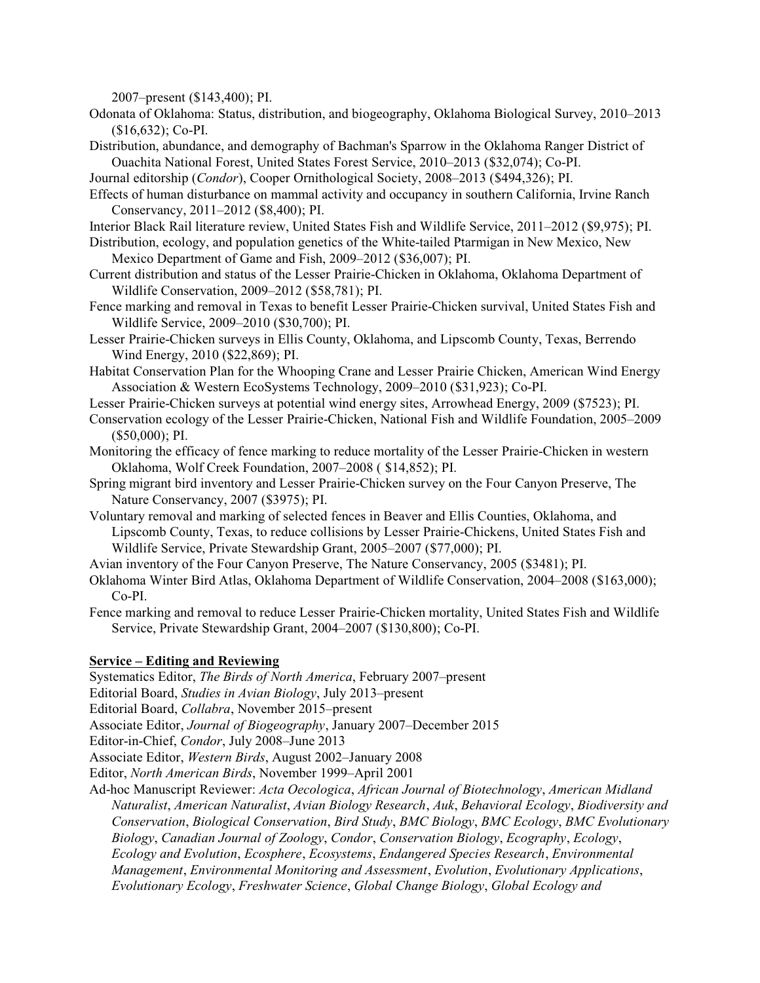2007–present (\$143,400); PI.

- Odonata of Oklahoma: Status, distribution, and biogeography, Oklahoma Biological Survey, 2010–2013 (\$16,632); Co-PI.
- Distribution, abundance, and demography of Bachman's Sparrow in the Oklahoma Ranger District of Ouachita National Forest, United States Forest Service, 2010–2013 (\$32,074); Co-PI.
- Journal editorship (*Condor*), Cooper Ornithological Society, 2008–2013 (\$494,326); PI.
- Effects of human disturbance on mammal activity and occupancy in southern California, Irvine Ranch Conservancy, 2011–2012 (\$8,400); PI.
- Interior Black Rail literature review, United States Fish and Wildlife Service, 2011–2012 (\$9,975); PI.
- Distribution, ecology, and population genetics of the White-tailed Ptarmigan in New Mexico, New Mexico Department of Game and Fish, 2009–2012 (\$36,007); PI.
- Current distribution and status of the Lesser Prairie-Chicken in Oklahoma, Oklahoma Department of Wildlife Conservation, 2009–2012 (\$58,781); PI.
- Fence marking and removal in Texas to benefit Lesser Prairie-Chicken survival, United States Fish and Wildlife Service, 2009–2010 (\$30,700); PI.
- Lesser Prairie-Chicken surveys in Ellis County, Oklahoma, and Lipscomb County, Texas, Berrendo Wind Energy, 2010 (\$22,869); PI.
- Habitat Conservation Plan for the Whooping Crane and Lesser Prairie Chicken, American Wind Energy Association & Western EcoSystems Technology, 2009–2010 (\$31,923); Co-PI.
- Lesser Prairie-Chicken surveys at potential wind energy sites, Arrowhead Energy, 2009 (\$7523); PI.
- Conservation ecology of the Lesser Prairie-Chicken, National Fish and Wildlife Foundation, 2005–2009 (\$50,000); PI.
- Monitoring the efficacy of fence marking to reduce mortality of the Lesser Prairie-Chicken in western Oklahoma, Wolf Creek Foundation, 2007–2008 ( \$14,852); PI.
- Spring migrant bird inventory and Lesser Prairie-Chicken survey on the Four Canyon Preserve, The Nature Conservancy, 2007 (\$3975); PI.
- Voluntary removal and marking of selected fences in Beaver and Ellis Counties, Oklahoma, and Lipscomb County, Texas, to reduce collisions by Lesser Prairie-Chickens, United States Fish and Wildlife Service, Private Stewardship Grant, 2005–2007 (\$77,000); PI.
- Avian inventory of the Four Canyon Preserve, The Nature Conservancy, 2005 (\$3481); PI.
- Oklahoma Winter Bird Atlas, Oklahoma Department of Wildlife Conservation, 2004–2008 (\$163,000); Co-PI.
- Fence marking and removal to reduce Lesser Prairie-Chicken mortality, United States Fish and Wildlife Service, Private Stewardship Grant, 2004–2007 (\$130,800); Co-PI.

## **Service – Editing and Reviewing**

Systematics Editor, *The Birds of North America*, February 2007–present

- Editorial Board, *Studies in Avian Biology*, July 2013–present
- Editorial Board, *Collabra*, November 2015–present

Associate Editor, *Journal of Biogeography*, January 2007–December 2015

Editor-in-Chief, *Condor*, July 2008–June 2013

Associate Editor, *Western Birds*, August 2002–January 2008

Editor, *North American Birds*, November 1999–April 2001

Ad-hoc Manuscript Reviewer: *Acta Oecologica*, *African Journal of Biotechnology*, *American Midland Naturalist*, *American Naturalist*, *Avian Biology Research*, *Auk*, *Behavioral Ecology*, *Biodiversity and Conservation*, *Biological Conservation*, *Bird Study*, *BMC Biology*, *BMC Ecology*, *BMC Evolutionary Biology*, *Canadian Journal of Zoology*, *Condor*, *Conservation Biology*, *Ecography*, *Ecology*, *Ecology and Evolution*, *Ecosphere*, *Ecosystems*, *Endangered Species Research*, *Environmental Management*, *Environmental Monitoring and Assessment*, *Evolution*, *Evolutionary Applications*, *Evolutionary Ecology*, *Freshwater Science*, *Global Change Biology*, *Global Ecology and*